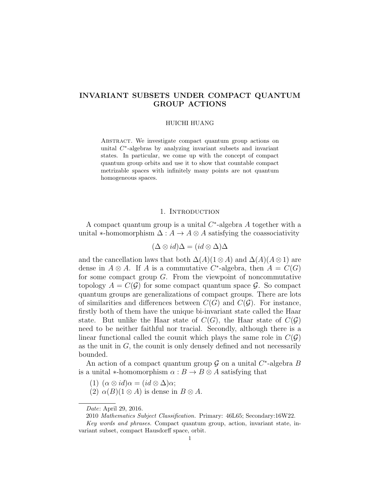# INVARIANT SUBSETS UNDER COMPACT QUANTUM GROUP ACTIONS

#### HUICHI HUANG

ABSTRACT. We investigate compact quantum group actions on unital  $C^*$ -algebras by analyzing invariant subsets and invariant states. In particular, we come up with the concept of compact quantum group orbits and use it to show that countable compact metrizable spaces with infinitely many points are not quantum homogeneous spaces.

#### 1. INTRODUCTION

A compact quantum group is a unital  $C^*$ -algebra A together with a unital ∗-homomorphism  $\Delta: A \to A \otimes A$  satisfying the coassociativity

$$
(\Delta \otimes id)\Delta = (id \otimes \Delta)\Delta
$$

and the cancellation laws that both  $\Delta(A)(1 \otimes A)$  and  $\Delta(A)(A \otimes 1)$  are dense in  $A \otimes A$ . If A is a commutative C<sup>\*</sup>-algebra, then  $A = C(G)$ for some compact group G. From the viewpoint of noncommutative topology  $A = C(G)$  for some compact quantum space G. So compact quantum groups are generalizations of compact groups. There are lots of similarities and differences between  $C(G)$  and  $C(G)$ . For instance, firstly both of them have the unique bi-invariant state called the Haar state. But unlike the Haar state of  $C(G)$ , the Haar state of  $C(G)$ need to be neither faithful nor tracial. Secondly, although there is a linear functional called the counit which plays the same role in  $C(\mathcal{G})$ as the unit in  $G$ , the counit is only densely defined and not necessarily bounded.

An action of a compact quantum group  $G$  on a unital  $C^*$ -algebra  $B$ is a unital  $\ast$ -homomorphism  $\alpha : B \to B \otimes A$  satisfying that

- (1)  $(\alpha \otimes id) \alpha = (id \otimes \Delta) \alpha;$
- (2)  $\alpha(B)(1 \otimes A)$  is dense in  $B \otimes A$ .

Date: April 29, 2016.

<sup>2010</sup> Mathematics Subject Classification. Primary: 46L65; Secondary:16W22.

Key words and phrases. Compact quantum group, action, invariant state, invariant subset, compact Hausdorff space, orbit.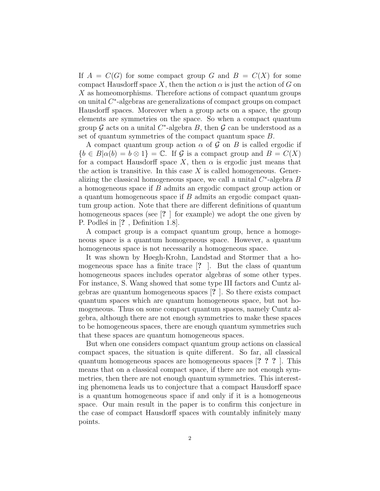If  $A = C(G)$  for some compact group G and  $B = C(X)$  for some compact Hausdorff space X, then the action  $\alpha$  is just the action of G on  $X$  as homeomorphisms. Therefore actions of compact quantum groups on unital C ∗ -algebras are generalizations of compact groups on compact Hausdorff spaces. Moreover when a group acts on a space, the group elements are symmetries on the space. So when a compact quantum group  $G$  acts on a unital  $C^*$ -algebra  $B$ , then  $G$  can be understood as a set of quantum symmetries of the compact quantum space B.

A compact quantum group action  $\alpha$  of  $\mathcal G$  on  $B$  is called ergodic if  ${b \in B | \alpha(b) = b \otimes 1} = \mathbb{C}$ . If G is a compact group and  $B = C(X)$ for a compact Hausdorff space X, then  $\alpha$  is ergodic just means that the action is transitive. In this case  $X$  is called homogeneous. Generalizing the classical homogeneous space, we call a unital  $C^*$ -algebra  $B$ a homogeneous space if B admits an ergodic compact group action or a quantum homogeneous space if B admits an ergodic compact quantum group action. Note that there are different definitions of quantum homogeneous spaces (see [? ] for example) we adopt the one given by P. Podles in [?, Definition 1.8].

A compact group is a compact quantum group, hence a homogeneous space is a quantum homogeneous space. However, a quantum homogeneous space is not necessarily a homogeneous space.

It was shown by Høegh-Krohn, Landstad and Størmer that a homogeneous space has a finite trace [? ]. But the class of quantum homogeneous spaces includes operator algebras of some other types. For instance, S. Wang showed that some type III factors and Cuntz algebras are quantum homogeneous spaces [? ]. So there exists compact quantum spaces which are quantum homogeneous space, but not homogeneous. Thus on some compact quantum spaces, namely Cuntz algebra, although there are not enough symmetries to make these spaces to be homogeneous spaces, there are enough quantum symmetries such that these spaces are quantum homogeneous spaces.

But when one considers compact quantum group actions on classical compact spaces, the situation is quite different. So far, all classical quantum homogeneous spaces are homogeneous spaces [? ? ? ]. This means that on a classical compact space, if there are not enough symmetries, then there are not enough quantum symmetries. This interesting phenomena leads us to conjecture that a compact Hausdorff space is a quantum homogeneous space if and only if it is a homogeneous space. Our main result in the paper is to confirm this conjecture in the case of compact Hausdorff spaces with countably infinitely many points.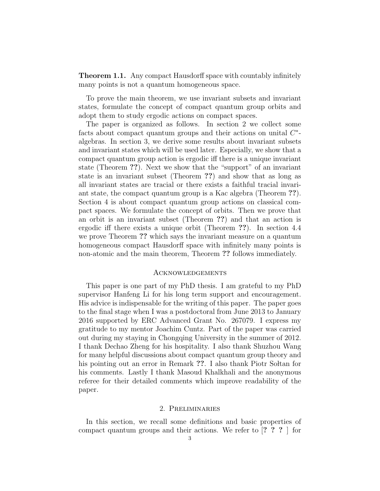Theorem 1.1. Any compact Hausdorff space with countably infinitely many points is not a quantum homogeneous space.

To prove the main theorem, we use invariant subsets and invariant states, formulate the concept of compact quantum group orbits and adopt them to study ergodic actions on compact spaces.

The paper is organized as follows. In section 2 we collect some facts about compact quantum groups and their actions on unital  $C^*$ algebras. In section 3, we derive some results about invariant subsets and invariant states which will be used later. Especially, we show that a compact quantum group action is ergodic iff there is a unique invariant state (Theorem ??). Next we show that the "support" of an invariant state is an invariant subset (Theorem ??) and show that as long as all invariant states are tracial or there exists a faithful tracial invariant state, the compact quantum group is a Kac algebra (Theorem ??). Section 4 is about compact quantum group actions on classical compact spaces. We formulate the concept of orbits. Then we prove that an orbit is an invariant subset (Theorem ??) and that an action is ergodic iff there exists a unique orbit (Theorem ??). In section 4.4 we prove Theorem ?? which says the invariant measure on a quantum homogeneous compact Hausdorff space with infinitely many points is non-atomic and the main theorem, Theorem ?? follows immediately.

#### **ACKNOWLEDGEMENTS**

This paper is one part of my PhD thesis. I am grateful to my PhD supervisor Hanfeng Li for his long term support and encouragement. His advice is indispensable for the writing of this paper. The paper goes to the final stage when I was a postdoctoral from June 2013 to January 2016 supported by ERC Advanced Grant No. 267079. I express my gratitude to my mentor Joachim Cuntz. Part of the paper was carried out during my staying in Chongqing University in the summer of 2012. I thank Dechao Zheng for his hospitality. I also thank Shuzhou Wang for many helpful discussions about compact quantum group theory and his pointing out an error in Remark ??. I also thank Piotr Soltan for his comments. Lastly I thank Masoud Khalkhali and the anonymous referee for their detailed comments which improve readability of the paper.

## 2. Preliminaries

In this section, we recall some definitions and basic properties of compact quantum groups and their actions. We refer to [? ? ? ] for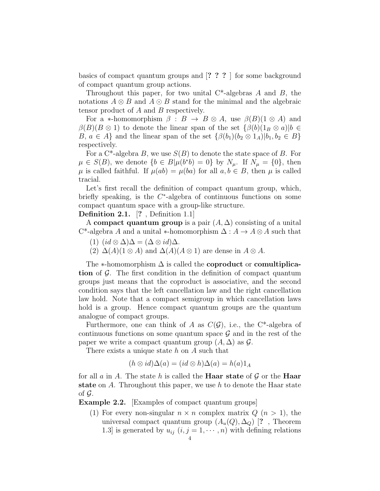basics of compact quantum groups and [? ? ? ] for some background of compact quantum group actions.

Throughout this paper, for two unital  $C^*$ -algebras A and B, the notations  $A \otimes B$  and  $A \odot B$  stand for the minimal and the algebraic tensor product of A and B respectively.

For a ∗-homomorphism  $\beta : B \to B \otimes A$ , use  $\beta(B)(1 \otimes A)$  and  $\beta(B)(B \otimes 1)$  to denote the linear span of the set  $\{\beta(b)(1_B \otimes a)|b \in$ B,  $a \in A$  and the linear span of the set  $\{\beta(b_1)(b_2 \otimes 1_A)|b_1, b_2 \in B\}$ respectively.

For a  $C^*$ -algebra B, we use  $S(B)$  to denote the state space of B. For  $\mu \in S(B)$ , we denote  $\{b \in B | \mu(b^*b) = 0\}$  by  $N_{\mu}$ . If  $N_{\mu} = \{0\}$ , then  $\mu$  is called faithful. If  $\mu(ab) = \mu(ba)$  for all  $a, b \in B$ , then  $\mu$  is called tracial.

Let's first recall the definition of compact quantum group, which, briefly speaking, is the  $C^*$ -algebra of continuous functions on some compact quantum space with a group-like structure.

Definition 2.1. [? , Definition 1.1]

A compact quantum group is a pair  $(A, \Delta)$  consisting of a unital C<sup>\*</sup>-algebra A and a unital \*-homomorphism  $\Delta: A \to A \otimes A$  such that

- (1)  $(id \otimes \Delta)\Delta = (\Delta \otimes id)\Delta$ .
- (2)  $\Delta(A)(1 \otimes A)$  and  $\Delta(A)(A \otimes 1)$  are dense in  $A \otimes A$ .

The  $*$ -homomorphism  $\Delta$  is called the **coproduct** or **comultiplica**tion of  $\mathcal G$ . The first condition in the definition of compact quantum groups just means that the coproduct is associative, and the second condition says that the left cancellation law and the right cancellation law hold. Note that a compact semigroup in which cancellation laws hold is a group. Hence compact quantum groups are the quantum analogue of compact groups.

Furthermore, one can think of A as  $C(G)$ , i.e., the C<sup>\*</sup>-algebra of continuous functions on some quantum space  $\mathcal G$  and in the rest of the paper we write a compact quantum group  $(A, \Delta)$  as  $\mathcal{G}$ .

There exists a unique state h on A such that

$$
(h \otimes id)\Delta(a) = (id \otimes h)\Delta(a) = h(a)1_A
$$

for all a in A. The state h is called the **Haar state** of  $\mathcal{G}$  or the **Haar** state on A. Throughout this paper, we use  $h$  to denote the Haar state of  $\mathcal G$ .

Example 2.2. [Examples of compact quantum groups]

(1) For every non-singular  $n \times n$  complex matrix  $Q(n > 1)$ , the universal compact quantum group  $(A_u(Q), \Delta_Q)$  [?, Theorem 1.3] is generated by  $u_{ij}$   $(i, j = 1, \dots, n)$  with defining relations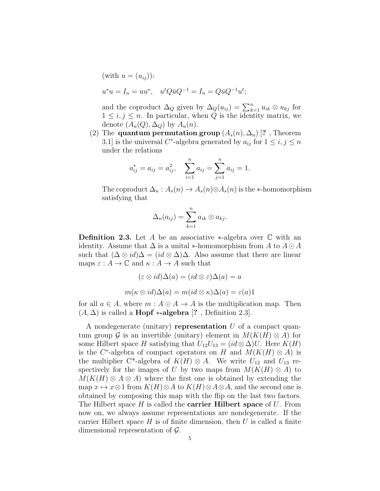(with 
$$
u = (u_{ij})
$$
):  
\n $u^*u = I_n = uu^*, \quad u^t Q \bar{u} Q^{-1} = I_n = Q \bar{u} Q^{-1} u^t;$ 

and the coproduct  $\Delta_Q$  given by  $\Delta_Q(u_{ij}) = \sum_{k=1}^n u_{ik} \otimes u_{kj}$  for  $1 \leq i, j \leq n$ . In particular, when Q is the identity matrix, we denote  $(A_u(Q), \Delta_Q)$  by  $A_u(n)$ .

(2) The quantum permutation group  $(A_s(n), \Delta_n)$  [?, Theorem 3.1] is the universal C<sup>\*</sup>-algebra generated by  $a_{ij}$  for  $1 \le i, j \le n$ under the relations

$$
a_{ij}^* = a_{ij} = a_{ij}^2
$$
,  $\sum_{i=1}^n a_{ij} = \sum_{j=1}^n a_{ij} = 1$ .

The coproduct  $\Delta_n$ :  $A_s(n) \to A_s(n) \otimes A_s(n)$  is the  $\ast$ -homomorphism satisfying that

$$
\Delta_n(a_{ij})=\sum_{k=1}^n a_{ik}\otimes a_{kj}.
$$

**Definition 2.3.** Let A be an associative  $*$ -algebra over  $\mathbb C$  with an identity. Assume that  $\Delta$  is a unital  $*$ -homomorphism from A to  $A \odot A$ such that  $(\Delta \otimes id)\Delta = (id \otimes \Delta)\Delta$ . Also assume that there are linear maps  $\varepsilon : A \to \mathbb{C}$  and  $\kappa : A \to A$  such that

$$
(\varepsilon \otimes id)\Delta(a) = (id \otimes \varepsilon)\Delta(a) = a
$$

$$
m(\kappa \otimes id)\Delta(a) = m(id \otimes \kappa)\Delta(a) = \varepsilon(a)1
$$

for all  $a \in A$ , where  $m : A \odot A \rightarrow A$  is the multiplication map. Then  $(A, \Delta)$  is called a **Hopf** \*-algebra [?, Definition 2.3].

A nondegenerate (unitary) representation  $U$  of a compact quantum group G is an invertible (unitary) element in  $M(K(H) \otimes A)$  for some Hilbert space H satisfying that  $U_{12}U_{13} = (id \otimes \Delta)U$ . Here  $K(H)$ is the C<sup>\*</sup>-algebra of compact operators on H and  $M(K(H) \otimes A)$  is the multiplier C<sup>\*</sup>-algebra of  $K(H) \otimes A$ . We write  $U_{12}$  and  $U_{13}$  respectively for the images of U by two maps from  $M(K(H) \otimes A)$  to  $M(K(H) \otimes A \otimes A)$  where the first one is obtained by extending the map  $x \mapsto x \otimes 1$  from  $K(H) \otimes A$  to  $K(H) \otimes A \otimes A$ , and the second one is obtained by composing this map with the flip on the last two factors. The Hilbert space  $H$  is called the **carrier Hilbert space** of  $U$ . From now on, we always assume representations are nondegenerate. If the carrier Hilbert space  $H$  is of finite dimension, then  $U$  is called a finite dimensional representation of G.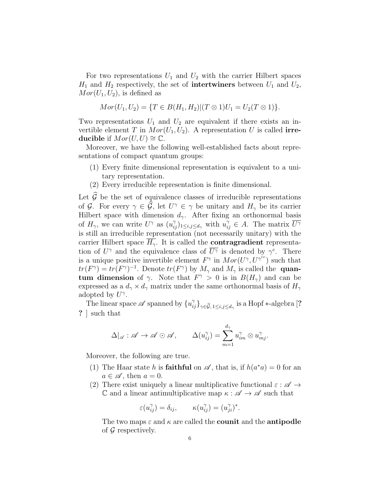For two representations  $U_1$  and  $U_2$  with the carrier Hilbert spaces  $H_1$  and  $H_2$  respectively, the set of **intertwiners** between  $U_1$  and  $U_2$ ,  $Mor(U_1, U_2)$ , is defined as

$$
Mor(U_1, U_2) = \{T \in B(H_1, H_2) | (T \otimes 1)U_1 = U_2(T \otimes 1) \}.
$$

Two representations  $U_1$  and  $U_2$  are equivalent if there exists an invertible element T in  $Mor(U_1, U_2)$ . A representation U is called **irre**ducible if  $Mor(U, U) \cong \mathbb{C}$ .

Moreover, we have the following well-established facts about representations of compact quantum groups:

- (1) Every finite dimensional representation is equivalent to a unitary representation.
- (2) Every irreducible representation is finite dimensional.

Let  $\widehat{G}$  be the set of equivalence classes of irreducible representations of G. For every  $\gamma \in \widehat{G}$ , let  $U^{\gamma} \in \gamma$  be unitary and  $H_{\gamma}$  be its carrier Hilbert space with dimension  $d_{\gamma}$ . After fixing an orthonormal basis of  $H_{\gamma}$ , we can write  $U^{\gamma}$  as  $(u_{ij}^{\gamma})_{1 \leq i,j \leq d_{\gamma}}$  with  $u_{ij}^{\gamma} \in A$ . The matrix  $\overline{U^{\gamma}}$ is still an irreducible representation (not necessarily unitary) with the carrier Hilbert space  $\overline{H_{\gamma}}$ . It is called the **contragradient** representation of  $U^{\gamma}$  and the equivalence class of  $\overline{U^{\gamma}}$  is denoted by  $\gamma^{c}$ . There is a unique positive invertible element  $F^{\gamma}$  in  $Mor(U^{\gamma}, U^{\gamma^{cc}})$  such that  $tr(F^{\gamma}) = tr(F^{\gamma})^{-1}$ . Denote  $tr(F^{\gamma})$  by  $M_{\gamma}$  and  $M_{\gamma}$  is called the **quan**tum dimension of  $\gamma$ . Note that  $F^{\gamma} > 0$  is in  $B(H_{\gamma})$  and can be expressed as a  $d_{\gamma} \times d_{\gamma}$  matrix under the same orthonormal basis of  $H_{\gamma}$ adopted by  $U^{\gamma}$ .

The linear space  $\mathscr A$  spanned by  $\{u_{ij}^{\gamma}\}_{\gamma \in \widehat{\mathcal G},\,1\le i,j\le d_\gamma}$  is a Hopf  $\ast$ -algebra [? ? ] such that

$$
\Delta|_{\mathscr{A}} : \mathscr{A} \to \mathscr{A} \odot \mathscr{A}, \qquad \Delta(u_{ij}^\gamma) = \sum_{m=1}^{d_\gamma} u_{im}^\gamma \otimes u_{mj}^\gamma.
$$

Moreover, the following are true.

- (1) The Haar state h is **faithful** on  $\mathscr A$ , that is, if  $h(a^*a) = 0$  for an  $a \in \mathscr{A}$ , then  $a = 0$ .
- (2) There exist uniquely a linear multiplicative functional  $\varepsilon : \mathscr{A} \to$ C and a linear antimultiplicative map  $\kappa : \mathscr{A} \to \mathscr{A}$  such that

$$
\varepsilon(u_{ij}^{\gamma}) = \delta_{ij}, \qquad \kappa(u_{ij}^{\gamma}) = (u_{ji}^{\gamma})^*.
$$

The two maps  $\varepsilon$  and  $\kappa$  are called the **counit** and the **antipodle** of G respectively.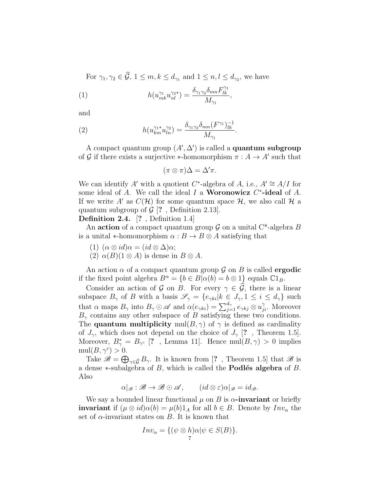For  $\gamma_1, \gamma_2 \in \mathcal{G}, 1 \leq m, k \leq d_{\gamma_1}$  and  $1 \leq n, l \leq d_{\gamma_2}$ , we have

(1) 
$$
h(u_{mk}^{\gamma_1} u_{nl}^{\gamma_2*}) = \frac{\delta_{\gamma_1 \gamma_2} \delta_{mn} F_{lk}^{\gamma_1}}{M_{\gamma_1}},
$$

and

(2) 
$$
h(u_{km}^{\gamma_1*}u_{ln}^{\gamma_2}) = \frac{\delta_{\gamma_1\gamma_2}\delta_{mn}(F^{\gamma_1})_{lk}^{-1}}{M_{\gamma_1}}
$$

A compact quantum group  $(A', \Delta')$  is called a **quantum subgroup** of G if there exists a surjective \*-homomorphism  $\pi : A \to A'$  such that

.

$$
(\pi \otimes \pi)\Delta = \Delta' \pi.
$$

We can identify A' with a quotient C<sup>\*</sup>-algebra of A, i.e.,  $A' \cong A/I$  for some ideal of A. We call the ideal  $I$  a **Woronowicz**  $C^*$ -ideal of A. If we write A' as  $C(\mathcal{H})$  for some quantum space  $\mathcal{H}$ , we also call  $\mathcal{H}$  a quantum subgroup of  $\mathcal{G}$  [?, Definition 2.13].

Definition 2.4. [? , Definition 1.4]

An action of a compact quantum group  $\mathcal G$  on a unital C<sup>\*</sup>-algebra B is a unital  $\ast$ -homomorphism  $\alpha : B \to B \otimes A$  satisfying that

- (1)  $(\alpha \otimes id) \alpha = (id \otimes \Delta) \alpha;$
- (2)  $\alpha(B)(1 \otimes A)$  is dense in  $B \otimes A$ .

An action  $\alpha$  of a compact quantum group  $\mathcal G$  on  $B$  is called **ergodic** if the fixed point algebra  $B^{\alpha} = \{b \in B | \alpha(b) = b \otimes 1\}$  equals  $\mathbb{C}1_B$ .

Consider an action of G on B. For every  $\gamma \in \widehat{G}$ , there is a linear subspace  $B_{\gamma}$  of B with a basis  $\mathscr{S}_{\gamma} = \{e_{\gamma ki} | k \in J_{\gamma}, 1 \le i \le d_{\gamma}\}\$  such that  $\alpha$  maps  $B_{\gamma}$  into  $B_{\gamma} \odot \mathscr{A}$  and  $\alpha(e_{\gamma ki}) = \sum_{j=1}^{d_{\gamma}} e_{\gamma kj} \otimes u_{ji}^{\gamma}$ . Moreover  $B_{\gamma}$  contains any other subspace of B satisfying these two conditions. The **quantum multiplicity** mul $(B, \gamma)$  of  $\gamma$  is defined as cardinality of  $J_{\gamma}$ , which does not depend on the choice of  $J_{\gamma}$  [?, Theorem 1.5]. Moreover,  $B_{\gamma}^* = B_{\gamma^c}$  [?, Lemma 11]. Hence mul $(B, \gamma) > 0$  implies  $mull(B, \gamma^c) > 0.$ 

Take  $\mathscr{B} = \bigoplus_{\gamma \in \widehat{\mathcal{G}}} B_{\gamma}$ . It is known from [?, Theorem 1.5] that  $\mathscr{B}$  is a dense  $*$ -subalgebra of B, which is called the **Podlés algebra** of B. Also

 $\alpha|_{\mathscr{B}} : \mathscr{B} \to \mathscr{B} \odot \mathscr{A}, \qquad (id \otimes \varepsilon) \alpha|_{\mathscr{B}} = id_{\mathscr{B}}.$ 

We say a bounded linear functional  $\mu$  on B is  $\alpha$ -invariant or briefly **invariant** if  $(\mu \otimes id)\alpha(b) = \mu(b)1_A$  for all  $b \in B$ . Denote by  $Inv_{\alpha}$  the set of  $\alpha$ -invariant states on B. It is known that

$$
Inv_{\alpha} = \{ (\psi \otimes h)\alpha | \psi \in S(B) \}.
$$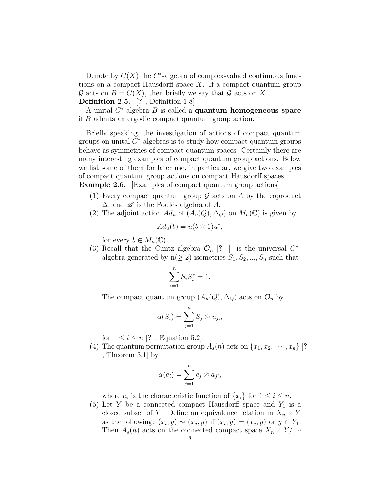Denote by  $C(X)$  the  $C^*$ -algebra of complex-valued continuous functions on a compact Hausdorff space  $X$ . If a compact quantum group  $\mathcal G$  acts on  $B = C(X)$ , then briefly we say that  $\mathcal G$  acts on X. Definition 2.5. [? , Definition 1.8]

A unital  $C^*$ -algebra  $B$  is called a **quantum homogeneous space** if B admits an ergodic compact quantum group action.

Briefly speaking, the investigation of actions of compact quantum groups on unital  $C^*$ -algebras is to study how compact quantum groups behave as symmetries of compact quantum spaces. Certainly there are many interesting examples of compact quantum group actions. Below we list some of them for later use, in particular, we give two examples of compact quantum group actions on compact Hausdorff spaces. Example 2.6. Examples of compact quantum group actions

- (1) Every compact quantum group  $\mathcal G$  acts on  $A$  by the coproduct  $\Delta$ , and  $\mathscr A$  is the Podlés algebra of A.
- (2) The adjoint action  $Ad_u$  of  $(A_u(Q), \Delta_Q)$  on  $M_n(\mathbb{C})$  is given by

$$
Ad_u(b) = u(b \otimes 1)u^*,
$$

for every  $b \in M_n(\mathbb{C})$ .

(3) Recall that the Cuntz algebra  $\mathcal{O}_n$  [? ] is the universal  $C^*$ algebra generated by  $n(\geq 2)$  isometries  $S_1, S_2, ..., S_n$  such that

$$
\sum_{i=1}^{n} S_i S_i^* = 1.
$$

The compact quantum group  $(A_u(Q), \Delta_Q)$  acts on  $\mathcal{O}_n$  by

$$
\alpha(S_i) = \sum_{j=1}^n S_j \otimes u_{ji},
$$

for  $1 \leq i \leq n$  [?, Equation 5.2].

(4) The quantum permutation group  $A_s(n)$  acts on  $\{x_1, x_2, \dots, x_n\}$  [? , Theorem 3.1] by

$$
\alpha(e_i) = \sum_{j=1}^n e_j \otimes a_{ji},
$$

where  $e_i$  is the characteristic function of  $\{x_i\}$  for  $1 \leq i \leq n$ .

(5) Let Y be a connected compact Hausdorff space and  $Y_1$  is a closed subset of Y. Define an equivalence relation in  $X_n \times Y$ as the following:  $(x_i, y) \sim (x_j, y)$  if  $(x_i, y) = (x_j, y)$  or  $y \in Y_1$ . Then  $A_s(n)$  acts on the connected compact space  $X_n \times Y/\sim$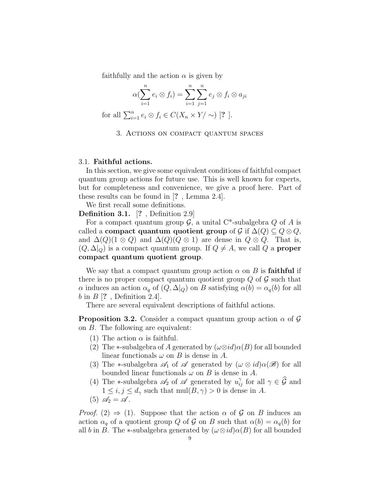faithfully and the action  $\alpha$  is given by

$$
\alpha(\sum_{i=1}^n e_i \otimes f_i) = \sum_{i=1}^n \sum_{j=1}^n e_j \otimes f_i \otimes a_{ji}
$$

for all  $\sum_{i=1}^n e_i \otimes f_i \in C(X_n \times Y/\sim)$  [? ].

#### 3. Actions on compact quantum spaces

#### 3.1. Faithful actions.

In this section, we give some equivalent conditions of faithful compact quantum group actions for future use. This is well known for experts, but for completeness and convenience, we give a proof here. Part of these results can be found in [? , Lemma 2.4].

We first recall some definitions.

Definition 3.1. [? , Definition 2.9]

For a compact quantum group  $\mathcal{G}$ , a unital C<sup>\*</sup>-subalgebra  $Q$  of A is called a compact quantum quotient group of  $\mathcal{G}$  if  $\Delta(Q) \subseteq Q \otimes Q$ , and  $\Delta(Q)(1 \otimes Q)$  and  $\Delta(Q)(Q \otimes 1)$  are dense in  $Q \otimes Q$ . That is,  $(Q, \Delta|_Q)$  is a compact quantum group. If  $Q \neq A$ , we call  $Q$  a **proper** compact quantum quotient group.

We say that a compact quantum group action  $\alpha$  on B is faithful if there is no proper compact quantum quotient group  $Q$  of  $\mathcal G$  such that  $\alpha$  induces an action  $\alpha_q$  of  $(Q, \Delta|_Q)$  on B satisfying  $\alpha(b) = \alpha_q(b)$  for all b in  $B$  [?, Definition 2.4].

There are several equivalent descriptions of faithful actions.

**Proposition 3.2.** Consider a compact quantum group action  $\alpha$  of  $\mathcal{G}$ on B. The following are equivalent:

- (1) The action  $\alpha$  is faithful.
- (2) The  $\ast$ -subalgebra of A generated by  $(\omega \otimes id) \alpha(B)$  for all bounded linear functionals  $\omega$  on B is dense in A.
- (3) The \*-subalgebra  $\mathscr{A}_1$  of  $\mathscr A$  generated by  $(\omega \otimes id) \alpha(\mathscr B)$  for all bounded linear functionals  $\omega$  on B is dense in A.
- (4) The \*-subalgebra  $\mathscr{A}_2$  of  $\mathscr{A}$  generated by  $u_{ij}^{\gamma}$  for all  $\gamma \in \widehat{\mathcal{G}}$  and  $1 \leq i, j \leq d_{\gamma}$  such that mul $(B, \gamma) > 0$  is dense in A.
- (5)  $\mathscr{A}_2 = \mathscr{A}$ .

*Proof.* (2)  $\Rightarrow$  (1). Suppose that the action  $\alpha$  of  $\mathcal{G}$  on B induces an action  $\alpha_q$  of a quotient group Q of G on B such that  $\alpha(b) = \alpha_q(b)$  for all b in B. The \*-subalgebra generated by  $(\omega \otimes id) \alpha(B)$  for all bounded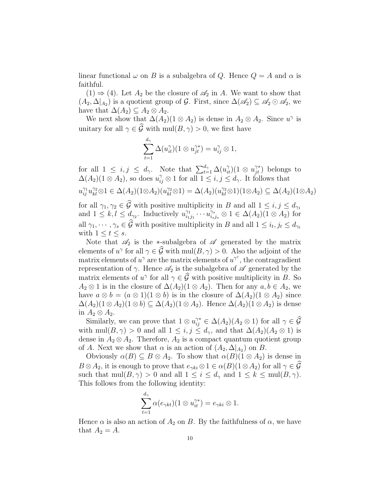linear functional  $\omega$  on B is a subalgebra of Q. Hence  $Q = A$  and  $\alpha$  is faithful.

 $(1) \Rightarrow (4)$ . Let  $A_2$  be the closure of  $\mathscr{A}_2$  in A. We want to show that  $(A_2, \Delta|_{A_2})$  is a quotient group of G. First, since  $\Delta(\mathscr{A}_2) \subseteq \mathscr{A}_2 \odot \mathscr{A}_2$ , we have that  $\Delta(A_2) \subseteq A_2 \otimes A_2$ .

We next show that  $\Delta(A_2)(1 \otimes A_2)$  is dense in  $A_2 \otimes A_2$ . Since  $u^{\gamma}$  is unitary for all  $\gamma \in \widehat{\mathcal{G}}$  with mul $(B, \gamma) > 0$ , we first have

$$
\sum_{t=1}^{d_{\gamma}} \Delta(u_{it}^{\gamma})(1 \otimes u_{jt}^{\gamma*}) = u_{ij}^{\gamma} \otimes 1,
$$

for all  $1 \leq i, j \leq d_{\gamma}$ . Note that  $\sum_{t=1}^{d_{\gamma}} \Delta(u_{it}^{\gamma})(1 \otimes u_{jt}^{\gamma*})$  belongs to  $\Delta(A_2)(1 \otimes A_2)$ , so does  $u_{ij}^{\gamma} \otimes 1$  for all  $1 \leq i, j \leq d_{\gamma}$ . It follows that  $u_{ij}^{\gamma_1}u_{kl}^{\gamma_2}\otimes 1 \in \Delta(A_2)(1\otimes A_2)(u_{kl}^{\gamma_2}\otimes 1)=\Delta(A_2)(u_{kl}^{\gamma_2}\otimes 1)(1\otimes A_2) \subseteq \Delta(A_2)(1\otimes A_2)$ 

for all  $\gamma_1, \gamma_2 \in \mathcal{G}$  with positive multiplicity in B and all  $1 \leq i, j \leq d_{\gamma_1}$ and  $1 \leq k, l \leq d_{\gamma_2}$ . Inductively  $u_{i_1}^{\gamma_1}$  $\overline{i_{i_1j_1}}^{\gamma_1}\cdots \overline{i_{i_sj_s}}^{\gamma_s} \otimes 1 \in \Delta(A_2)$  (1  $\otimes A_2$ ) for all  $\gamma_1, \dots, \gamma_s \in \mathcal{G}$  with positive multiplicity in B and all  $1 \leq i_t, j_t \leq d_{\gamma_t}$ with  $1 \leq t \leq s$ .

Note that  $\mathscr{A}_2$  is the ∗-subalgebra of  $\mathscr A$  generated by the matrix elements of  $u^{\gamma}$  for all  $\gamma \in \mathcal{G}$  with mul $(B, \gamma) > 0$ . Also the adjoint of the matrix elements of  $u^{\gamma}$  are the matrix elements of  $u^{\gamma^c}$ , the contragradient representation of  $\gamma$ . Hence  $\mathscr{A}_2$  is the subalgebra of  $\mathscr A$  generated by the matrix elements of  $u^{\gamma}$  for all  $\gamma \in \mathcal{G}$  with positive multiplicity in B. So  $A_2 \otimes 1$  is in the closure of  $\Delta(A_2)(1 \otimes A_2)$ . Then for any  $a, b \in A_2$ , we have  $a \otimes b = (a \otimes 1)(1 \otimes b)$  is in the closure of  $\Delta(A_2)(1 \otimes A_2)$  since  $\Delta(A_2)(1 \otimes A_2)(1 \otimes b) \subseteq \Delta(A_2)(1 \otimes A_2)$ . Hence  $\Delta(A_2)(1 \otimes A_2)$  is dense in  $A_2 \otimes A_2$ .

Similarly, we can prove that  $1 \otimes u_{ij}^{\gamma^*} \in \Delta(A_2)(A_2 \otimes 1)$  for all  $\gamma \in \widehat{G}$ with mul $(B, \gamma) > 0$  and all  $1 \leq i, j \leq d_{\gamma}$ , and that  $\Delta(A_2)(A_2 \otimes 1)$  is dense in  $A_2 \otimes A_2$ . Therefore,  $A_2$  is a compact quantum quotient group of A. Next we show that  $\alpha$  is an action of  $(A_2, \Delta|_{A_2})$  on B.

Obviously  $\alpha(B) \subseteq B \otimes A_2$ . To show that  $\alpha(B)(1 \otimes A_2)$  is dense in  $B \otimes A_2$ , it is enough to prove that  $e_{\gamma ki} \otimes 1 \in \alpha(B)(1 \otimes A_2)$  for all  $\gamma \in \widehat{\mathcal{G}}$ such that  $mul(B, \gamma) > 0$  and all  $1 \leq i \leq d_{\gamma}$  and  $1 \leq k \leq mul(B, \gamma)$ . This follows from the following identity:

$$
\sum_{t=1}^{d_{\gamma}} \alpha(e_{\gamma kt})(1 \otimes u_{it}^{\gamma *}) = e_{\gamma ki} \otimes 1.
$$

Hence  $\alpha$  is also an action of  $A_2$  on B. By the faithfulness of  $\alpha$ , we have that  $A_2 = A$ .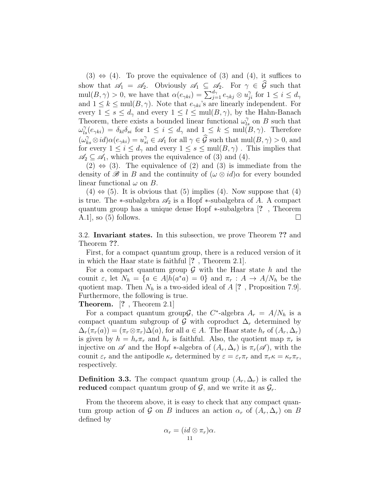$(3) \Leftrightarrow (4)$ . To prove the equivalence of  $(3)$  and  $(4)$ , it suffices to show that  $\mathscr{A}_1 = \mathscr{A}_2$ . Obviously  $\mathscr{A}_1 \subseteq \mathscr{A}_2$ . For  $\gamma \in \widehat{\mathcal{G}}$  such that  $\text{mul}(B, \gamma) > 0$ , we have that  $\alpha(e_{\gamma ki}) = \sum_{j=1}^{d_{\gamma}} e_{\gamma kj} \otimes u_{ji}^{\gamma}$  for  $1 \leq i \leq d_{\gamma}$ and  $1 \leq k \leq \text{mul}(B, \gamma)$ . Note that  $e_{\gamma k i}$ 's are linearly independent. For every  $1 \leq s \leq d_{\gamma}$  and every  $1 \leq l \leq \text{mul}(B, \gamma)$ , by the Hahn-Banach Theorem, there exists a bounded linear functional  $\omega_{ls}^{\gamma}$  on B such that  $\omega_{ls}^{\gamma}(e_{\gamma ki}) = \delta_{kl}\delta_{si}$  for  $1 \leq i \leq d_{\gamma}$  and  $1 \leq k \leq \text{mul}(B,\gamma)$ . Therefore  $(\omega_{ks}^{\gamma} \otimes id) \alpha(e_{\gamma ki}) = u_{si}^{\gamma} \in \mathscr{A}_1$  for all  $\gamma \in \widehat{\mathcal{G}}$  such that  $\text{mul}(B, \gamma) > 0$ , and for every  $1 \leq i \leq d_{\gamma}$  and every  $1 \leq s \leq \text{mul}(B, \gamma)$ . This implies that  $\mathscr{A}_2 \subseteq \mathscr{A}_1$ , which proves the equivalence of (3) and (4).

 $(2) \Leftrightarrow (3)$ . The equivalence of  $(2)$  and  $(3)$  is immediate from the density of  $\mathscr B$  in B and the continuity of  $(\omega \otimes id)$ α for every bounded linear functional  $\omega$  on  $B$ .

 $(4) \Leftrightarrow (5)$ . It is obvious that  $(5)$  implies  $(4)$ . Now suppose that  $(4)$ is true. The  $\ast$ -subalgebra  $\mathscr{A}_2$  is a Hopf  $\ast$ -subalgebra of A. A compact quantum group has a unique dense Hopf ∗-subalgebra [? , Theorem A.1, so (5) follows.

3.2. Invariant states. In this subsection, we prove Theorem ?? and Theorem ??.

First, for a compact quantum group, there is a reduced version of it in which the Haar state is faithful [? , Theorem 2.1].

For a compact quantum group  $\mathcal G$  with the Haar state h and the counit  $\varepsilon$ , let  $N_h = \{a \in A | h(a^*a) = 0\}$  and  $\pi_r : A \to A/N_h$  be the quotient map. Then  $N_h$  is a two-sided ideal of A [?, Proposition 7.9]. Furthermore, the following is true.

Theorem. [? , Theorem 2.1]

For a compact quantum group  $\mathcal{G}$ , the C<sup>\*</sup>-algebra  $A_r = A/N_h$  is a compact quantum subgroup of G with coproduct  $\Delta_r$  determined by  $\Delta_r(\pi_r(a)) = (\pi_r \otimes \pi_r) \Delta(a)$ , for all  $a \in A$ . The Haar state  $h_r$  of  $(A_r, \Delta_r)$ is given by  $h = h_r \pi_r$  and  $h_r$  is faithful. Also, the quotient map  $\pi_r$  is injective on  $\mathscr A$  and the Hopf  $\ast$ -algebra of  $(A_r, \Delta_r)$  is  $\pi_r(\mathscr A)$ , with the counit  $\varepsilon_r$  and the antipodle  $\kappa_r$  determined by  $\varepsilon = \varepsilon_r \pi_r$  and  $\pi_r \kappa = \kappa_r \pi_r$ , respectively.

**Definition 3.3.** The compact quantum group  $(A_r, \Delta_r)$  is called the reduced compact quantum group of  $\mathcal{G}$ , and we write it as  $\mathcal{G}_r$ .

From the theorem above, it is easy to check that any compact quantum group action of G on B induces an action  $\alpha_r$  of  $(A_r, \Delta_r)$  on B defined by

$$
\alpha_r = (id \otimes \pi_r)\alpha.
$$
  
11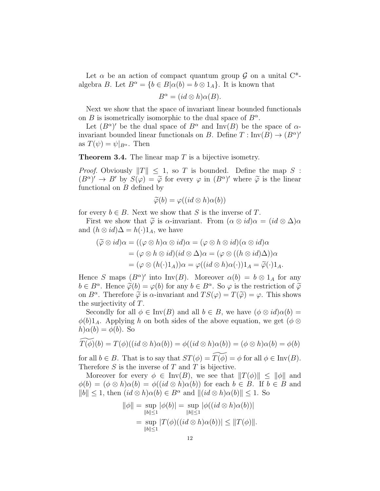Let  $\alpha$  be an action of compact quantum group  $\mathcal G$  on a unital  $C^*$ algebra B. Let  $B^{\alpha} = \{b \in B | \alpha(b) = b \otimes 1_A\}$ . It is known that

$$
B^{\alpha} = (id \otimes h)\alpha(B).
$$

Next we show that the space of invariant linear bounded functionals on  $B$  is isometrically isomorphic to the dual space of  $B^{\alpha}$ .

Let  $(B^{\alpha})'$  be the dual space of  $B^{\alpha}$  and Inv(B) be the space of  $\alpha$ invariant bounded linear functionals on B. Define  $T: Inv(B) \to (B^{\alpha})'$ as  $T(\psi) = \psi|_{B^{\alpha}}$ . Then

**Theorem 3.4.** The linear map  $T$  is a bijective isometry.

*Proof.* Obviously  $||T|| \leq 1$ , so T is bounded. Define the map S:  $(B^{\alpha})' \to B'$  by  $S(\varphi) = \tilde{\varphi}$  for every  $\varphi$  in  $(B^{\alpha})'$  where  $\tilde{\varphi}$  is the linear<br>functional on B defined by functional on B defined by

$$
\widetilde{\varphi}(b) = \varphi((id \otimes h)\alpha(b))
$$

for every  $b \in B$ . Next we show that S is the inverse of T.

First we show that  $\tilde{\varphi}$  is  $\alpha$ -invariant. From  $(\alpha \otimes id)\alpha = (id \otimes \Delta)\alpha$ and  $(h \otimes id)\Delta = h(\cdot)1_A$ , we have

$$
(\widetilde{\varphi} \otimes id)\alpha = ((\varphi \otimes h)\alpha \otimes id)\alpha = (\varphi \otimes h \otimes id)(\alpha \otimes id)\alpha
$$
  

$$
= (\varphi \otimes h \otimes id)(id \otimes \Delta)\alpha = (\varphi \otimes ((h \otimes id)\Delta))\alpha
$$
  

$$
= (\varphi \otimes (h(\cdot)1_A))\alpha = \varphi((id \otimes h)\alpha(\cdot))1_A = \widetilde{\varphi}(\cdot)1_A.
$$

Hence S maps  $(B^{\alpha})'$  into Inv(B). Moreover  $\alpha(b) = b \otimes 1_A$  for any  $b \in B^{\alpha}$ . Hence  $\widetilde{\varphi}(b) = \varphi(b)$  for any  $b \in B^{\alpha}$ . So  $\varphi$  is the restriction of  $\widetilde{\varphi}$ <br>on  $B^{\alpha}$ . Therefore  $\widetilde{\varphi}$  is  $\alpha$  invariant and  $TS(\alpha) = T(\widetilde{\alpha}) = \varphi$ . This shows on  $B^{\alpha}$ . Therefore  $\widetilde{\varphi}$  is  $\alpha$ -invariant and  $TS(\varphi) = T(\widetilde{\varphi}) = \varphi$ . This shows the surjectivity of T the surjectivity of T.

Secondly for all  $\phi \in \text{Inv}(B)$  and all  $b \in B$ , we have  $(\phi \otimes id)\alpha(b) =$  $\phi(b)1_A$ . Applying h on both sides of the above equation, we get  $(\phi \otimes$  $h$ ) $\alpha$ (b) =  $\phi$ (b). So

$$
\widetilde{T(\phi)}(b) = T(\phi)((id \otimes h)\alpha(b)) = \phi((id \otimes h)\alpha(b)) = (\phi \otimes h)\alpha(b) = \phi(b)
$$

for all  $b \in B$ . That is to say that  $ST(\phi) = T(\phi) = \phi$  for all  $\phi \in Inv(B)$ . Therefore  $S$  is the inverse of  $T$  and  $T$  is bijective.

Moreover for every  $\phi \in Inv(B)$ , we see that  $||T(\phi)|| \le ||\phi||$  and  $\phi(b) = (\phi \otimes h)\alpha(b) = \phi((id \otimes h)\alpha(b))$  for each  $b \in B$ . If  $b \in B$  and  $||b|| \leq 1$ , then  $(id \otimes h)\alpha(b) \in B^{\alpha}$  and  $||(id \otimes h)\alpha(b)|| \leq 1$ . So

$$
\|\phi\| = \sup_{\|b\| \le 1} |\phi(b)| = \sup_{\|b\| \le 1} |\phi((id \otimes h)\alpha(b))|
$$
  
= 
$$
\sup_{\|b\| \le 1} |T(\phi)((id \otimes h)\alpha(b))| \le ||T(\phi)||.
$$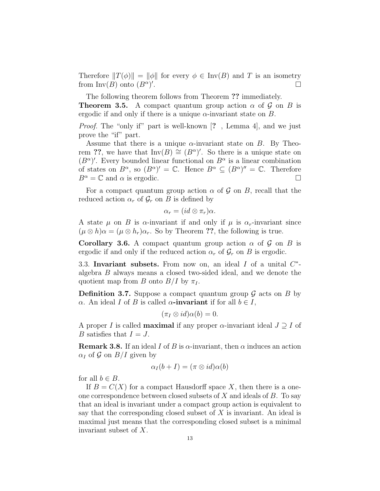Therefore  $||T(\phi)|| = ||\phi||$  for every  $\phi \in \text{Inv}(B)$  and T is an isometry from  $Inv(B)$  onto  $(B^{\alpha})'$ . The contract of the contract of  $\Box$ 

The following theorem follows from Theorem ?? immediately.

**Theorem 3.5.** A compact quantum group action  $\alpha$  of  $\mathcal{G}$  on  $B$  is ergodic if and only if there is a unique  $\alpha$ -invariant state on B.

Proof. The "only if" part is well-known [? , Lemma 4], and we just prove the "if" part.

Assume that there is a unique  $\alpha$ -invariant state on B. By Theorem ??, we have that  $\text{Inv}(B) \cong (B^{\alpha})'$ . So there is a unique state on  $(B^{\alpha})'$ . Every bounded linear functional on  $B^{\alpha}$  is a linear combination of states on  $B^{\alpha}$ , so  $(B^{\alpha})' = \mathbb{C}$ . Hence  $B^{\alpha} \subseteq (B^{\alpha})'' = \mathbb{C}$ . Therefore  $B^{\alpha} = \mathbb{C}$  and  $\alpha$  is ergodic.

For a compact quantum group action  $\alpha$  of  $\mathcal G$  on  $B$ , recall that the reduced action  $\alpha_r$  of  $\mathcal{G}_r$  on B is defined by

$$
\alpha_r = (id \otimes \pi_r)\alpha.
$$

A state  $\mu$  on B is  $\alpha$ -invariant if and only if  $\mu$  is  $\alpha_r$ -invariant since  $(\mu \otimes h)\alpha = (\mu \otimes h_r)\alpha_r$ . So by Theorem ??, the following is true.

**Corollary 3.6.** A compact quantum group action  $\alpha$  of  $\mathcal{G}$  on  $B$  is ergodic if and only if the reduced action  $\alpha_r$  of  $\mathcal{G}_r$  on B is ergodic.

3.3. Invariant subsets. From now on, an ideal  $I$  of a unital  $C^*$ algebra B always means a closed two-sided ideal, and we denote the quotient map from B onto  $B/I$  by  $\pi_I$ .

**Definition 3.7.** Suppose a compact quantum group  $\mathcal G$  acts on  $B$  by α. An ideal I of B is called α-invariant if for all  $b \in I$ ,

$$
(\pi_I \otimes id)\alpha(b) = 0.
$$

A proper I is called **maximal** if any proper  $\alpha$ -invariant ideal  $J \supseteq I$  of B satisfies that  $I = J$ .

**Remark 3.8.** If an ideal I of B is  $\alpha$ -invariant, then  $\alpha$  induces an action  $\alpha_I$  of G on  $B/I$  given by

$$
\alpha_I(b+I) = (\pi \otimes id)\alpha(b)
$$

for all  $b \in B$ .

If  $B = C(X)$  for a compact Hausdorff space X, then there is a oneone correspondence between closed subsets of  $X$  and ideals of  $B$ . To say that an ideal is invariant under a compact group action is equivalent to say that the corresponding closed subset of X is invariant. An ideal is maximal just means that the corresponding closed subset is a minimal invariant subset of X.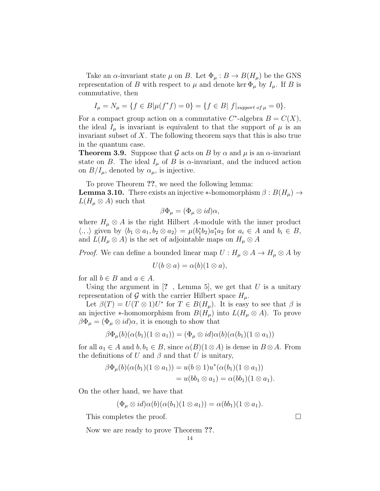Take an  $\alpha$ -invariant state  $\mu$  on B. Let  $\Phi_{\mu}: B \to B(H_{\mu})$  be the GNS representation of B with respect to  $\mu$  and denote ker  $\Phi_{\mu}$  by  $I_{\mu}$ . If B is commutative, then

$$
I_{\mu} = N_{\mu} = \{ f \in B | \mu(f^*f) = 0 \} = \{ f \in B | f|_{support \ of \ \mu} = 0 \}.
$$

For a compact group action on a commutative  $C^*$ -algebra  $B = C(X)$ , the ideal  $I_\mu$  is invariant is equivalent to that the support of  $\mu$  is an invariant subset of  $X$ . The following theorem says that this is also true in the quantum case.

**Theorem 3.9.** Suppose that G acts on B by  $\alpha$  and  $\mu$  is an  $\alpha$ -invariant state on B. The ideal  $I_{\mu}$  of B is  $\alpha$ -invariant, and the induced action on  $B/I_{\mu}$ , denoted by  $\alpha_{\mu}$ , is injective.

To prove Theorem ??, we need the following lemma:

**Lemma 3.10.** There exists an injective \*-homomorphism  $\beta : B(H_\mu) \to$  $L(H_\mu \otimes A)$  such that

$$
\beta\Phi_{\mu}=(\Phi_{\mu}\otimes id)\alpha,
$$

where  $H_{\mu} \otimes A$  is the right Hilbert A-module with the inner product  $\langle .,.\rangle$  given by  $\langle b_1 \otimes a_1, b_2 \otimes a_2 \rangle = \mu(b_1^* b_2) a_1^* a_2$  for  $a_i \in A$  and  $b_i \in B$ , and  $L(H_\mu \otimes A)$  is the set of adjointable maps on  $H_\mu \otimes A$ 

*Proof.* We can define a bounded linear map  $U : H_\mu \otimes A \to H_\mu \otimes A$  by

$$
U(b \otimes a) = \alpha(b)(1 \otimes a),
$$

for all  $b \in B$  and  $a \in A$ .

Using the argument in  $[?$ , Lemma 5, we get that U is a unitary representation of G with the carrier Hilbert space  $H_{\mu}$ .

Let  $\beta(T) = U(T \otimes 1)U^*$  for  $T \in B(H_\mu)$ . It is easy to see that  $\beta$  is an injective ∗-homomorphism from  $B(H_\mu)$  into  $L(H_\mu \otimes A)$ . To prove  $\beta \Phi_{\mu} = (\Phi_{\mu} \otimes id)\alpha$ , it is enough to show that

$$
\beta\Phi_{\mu}(b)(\alpha(b_1)(1\otimes a_1))=(\Phi_{\mu}\otimes id)\alpha(b)(\alpha(b_1)(1\otimes a_1))
$$

for all  $a_1 \in A$  and  $b, b_1 \in B$ , since  $\alpha(B)(1 \otimes A)$  is dense in  $B \otimes A$ . From the definitions of U and  $\beta$  and that U is unitary,

$$
\beta\Phi_{\mu}(b)(\alpha(b_1)(1\otimes a_1)) = u(b\otimes 1)u^*(\alpha(b_1)(1\otimes a_1))
$$
  
=  $u(bb_1\otimes a_1) = \alpha(bb_1)(1\otimes a_1).$ 

On the other hand, we have that

$$
(\Phi_{\mu} \otimes id)\alpha(b)(\alpha(b_1)(1 \otimes a_1)) = \alpha(bb_1)(1 \otimes a_1).
$$

This completes the proof.

Now we are ready to prove Theorem ??.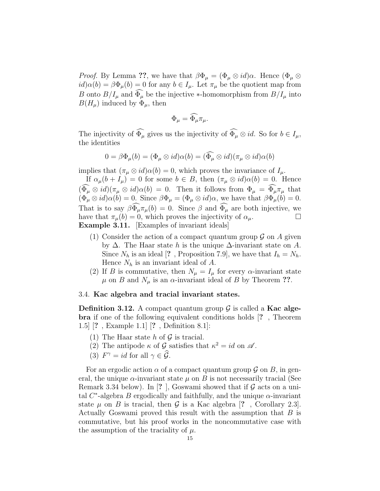*Proof.* By Lemma ??, we have that  $\beta \Phi_{\mu} = (\Phi_{\mu} \otimes id)\alpha$ . Hence  $(\Phi_{\mu} \otimes id)\alpha$  $id\alpha(b) = \beta \Phi_\mu(b) = 0$  for any  $b \in I_\mu$ . Let  $\pi_\mu$  be the quotient map from B onto  $B/I_{\mu}$  and  $\widehat{\Phi}_{\mu}$  be the injective \*-homomorphism from  $B/I_{\mu}$  into  $B(H_\mu)$  induced by  $\Phi_\mu$ , then

$$
\Phi_{\mu} = \widehat{\Phi}_{\mu} \pi_{\mu}.
$$

The injectivity of  $\widehat{\Phi}_{\mu}$  gives us the injectivity of  $\widehat{\Phi}_{\mu} \otimes id$ . So for  $b \in I_{\mu}$ , the identities

$$
0 = \beta \Phi_{\mu}(b) = (\Phi_{\mu} \otimes id)\alpha(b) = (\widehat{\Phi}_{\mu} \otimes id)(\pi_{\mu} \otimes id)\alpha(b)
$$

implies that  $(\pi_u \otimes id)\alpha(b) = 0$ , which proves the invariance of  $I_u$ .

If  $\alpha_{\mu}(b + I_{\mu}) = 0$  for some  $b \in B$ , then  $(\pi_{\mu} \otimes id)\alpha(b) = 0$ . Hence  $(\Phi_{\mu} \otimes id)(\pi_{\mu} \otimes id)\alpha(b) = 0$ . Then it follows from  $\Phi_{\mu} = \Phi_{\mu}\pi_{\mu}$  that  $(\Phi_{\mu} \otimes id) \alpha(b) = 0$ . Since  $\beta \Phi_{\mu} = (\Phi_{\mu} \otimes id) \alpha$ , we have that  $\beta \Phi_{\mu}(b) = 0$ . That is to say  $\beta \tilde{\Phi}_{\mu} \pi_{\mu}(b) = 0$ . Since  $\beta$  and  $\tilde{\Phi}_{\mu}$  are both injective, we have that  $\pi_{\mu}(b) = 0$  which proves the injectivity of  $\alpha_{\mu}$ have that  $\pi_{\mu}(b) = 0$ , which proves the injectivity of  $\alpha_{\mu}$ . Example 3.11. [Examples of invariant ideals]

- (1) Consider the action of a compact quantum group  $\mathcal G$  on A given by  $\Delta$ . The Haar state h is the unique  $\Delta$ -invariant state on A. Since  $N_h$  is an ideal [?, Proposition 7.9], we have that  $I_h = N_h$ . Hence  $N_h$  is an invariant ideal of A.
- (2) If B is commutative, then  $N_{\mu} = I_{\mu}$  for every  $\alpha$ -invariant state  $\mu$  on B and  $N_{\mu}$  is an  $\alpha$ -invariant ideal of B by Theorem ??.

#### 3.4. Kac algebra and tracial invariant states.

**Definition 3.12.** A compact quantum group  $\mathcal{G}$  is called a **Kac alge**bra if one of the following equivalent conditions holds [? , Theorem 1.5] [? , Example 1.1] [? , Definition 8.1]:

- (1) The Haar state h of  $\mathcal G$  is tracial.
- (2) The antipode  $\kappa$  of  $\mathcal G$  satisfies that  $\kappa^2 = id$  on  $\mathcal A$ .
- (3)  $F^{\gamma} = id$  for all  $\gamma \in \hat{\mathcal{G}}$ .

For an ergodic action  $\alpha$  of a compact quantum group  $\mathcal G$  on  $B$ , in general, the unique  $\alpha$ -invariant state  $\mu$  on B is not necessarily tracial (See Remark 3.34 below). In [?], Goswami showed that if  $\mathcal G$  acts on a unital  $C^*$ -algebra B ergodically and faithfully, and the unique  $\alpha$ -invariant state  $\mu$  on B is tracial, then G is a Kac algebra [?, Corollary 2.3]. Actually Goswami proved this result with the assumption that  $B$  is commutative, but his proof works in the noncommutative case with the assumption of the traciality of  $\mu$ .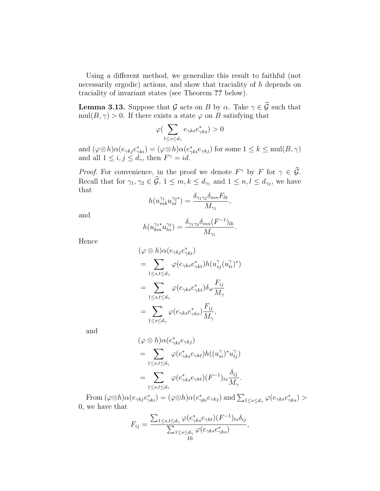Using a different method, we generalize this result to faithful (not necessarily ergodic) actions, and show that traciality of h depends on traciality of invariant states (see Theorem ?? below).

**Lemma 3.13.** Suppose that  $\mathcal G$  acts on B by  $\alpha$ . Take  $\gamma \in \widehat{\mathcal G}$  such that  $mull(B, \gamma) > 0$ . If there exists a state  $\varphi$  on B satisfying that

$$
\varphi(\sum_{1 \le s \le d_\gamma} e_{\gamma ks} e_{\gamma ks}^*) > 0
$$

and  $(\varphi \otimes h) \alpha(e_{\gamma k j} e_{\gamma k i}^*) = (\varphi \otimes h) \alpha(e_{\gamma k i}^* e_{\gamma k j})$  for some  $1 \leq k \leq \text{mul}(B, \gamma)$ and all  $1 \leq i, j \leq d_{\gamma}$ , then  $F^{\gamma} = id$ .

*Proof.* For convenience, in the proof we denote  $F^{\gamma}$  by F for  $\gamma \in \mathcal{G}$ . Recall that for  $\gamma_1, \gamma_2 \in \mathcal{G}, 1 \leq m, k \leq d_{\gamma_1}$  and  $1 \leq n, l \leq d_{\gamma_2}$ , we have that

$$
h(u_{mk}^{\gamma_1}u_{nl}^{\gamma_2*})=\frac{\delta_{\gamma_1\gamma_2}\delta_{mn}F_{lk}}{M_{\gamma_1}},
$$

and

$$
h(u_{km}^{\gamma_1*}u_{ln}^{\gamma_2}) = \frac{\delta_{\gamma_1\gamma_2}\delta_{mn}(F^{-1})_{lk}}{M_{\gamma_1}}.
$$

Hence

$$
(\varphi \otimes h) \alpha(e_{\gamma kj}e_{\gamma ki}^*)
$$
  
= 
$$
\sum_{1 \le s,t \le d_{\gamma}} \varphi(e_{\gamma ks}e_{\gamma kt}^*)h(u_{sj}^{\gamma}(u_{ti}^{\gamma})^*)
$$
  
= 
$$
\sum_{1 \le s,t \le d_{\gamma}} \varphi(e_{\gamma ks}e_{\gamma kt}^*)\delta_{st}\frac{F_{ij}}{M_{\gamma}}
$$
  
= 
$$
\sum_{1 \le s \le d_{\gamma}} \varphi(e_{\gamma ks}e_{\gamma ks}^*)\frac{F_{ij}}{M_{\gamma}},
$$

and

$$
(\varphi \otimes h) \alpha(e_{\gamma ki}^* e_{\gamma kj})
$$
  
= 
$$
\sum_{1 \le s,t \le d_{\gamma}} \varphi(e_{\gamma ks}^* e_{\gamma kt}) h((u_{si}^{\gamma})^* u_{tj}^{\gamma})
$$
  
= 
$$
\sum_{1 \le s,t \le d_{\gamma}} \varphi(e_{\gamma ks}^* e_{\gamma kt})(F^{-1})_{ts} \frac{\delta_{ij}}{M_{\gamma}}.
$$

From  $(\varphi \otimes h) \alpha(e_{\gamma kj}e_{\gamma ki}^*) = (\varphi \otimes h) \alpha(e_{\gamma ki}^*e_{\gamma kj})$  and  $\sum_{1 \leq s \leq d_{\gamma}} \varphi(e_{\gamma ks}e_{\gamma ks}^*) >$ 0, we have that

$$
F_{ij} = \frac{\sum_{1 \le s,t \le d_{\gamma}} \varphi(e_{\gamma ks}^* e_{\gamma kt})(F^{-1})_{ts}\delta_{ij}}{\sum_{1 \le s \le d_{\gamma}} \varphi(e_{\gamma ks}e_{\gamma ks}^*)},
$$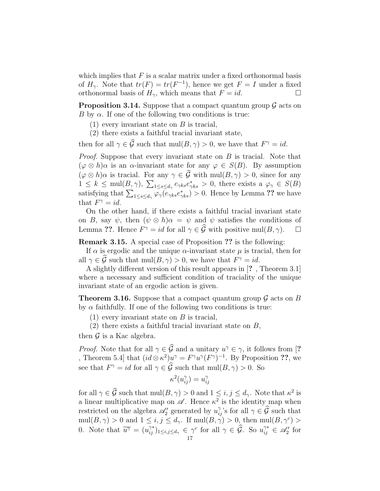which implies that  $F$  is a scalar matrix under a fixed orthonormal basis of  $H_{\gamma}$ . Note that  $tr(F) = tr(F^{-1})$ , hence we get  $F = I$  under a fixed orthonormal basis of  $H_{\gamma}$ , which means that  $F = id$ .

**Proposition 3.14.** Suppose that a compact quantum group  $\mathcal{G}$  acts on B by  $\alpha$ . If one of the following two conditions is true:

- $(1)$  every invariant state on B is tracial,
- (2) there exists a faithful tracial invariant state,

then for all  $\gamma \in \mathcal{G}$  such that  $mul(B, \gamma) > 0$ , we have that  $F^{\gamma} = id$ .

*Proof.* Suppose that every invariant state on  $B$  is tracial. Note that  $(\varphi \otimes h)\alpha$  is an  $\alpha$ -invariant state for any  $\varphi \in S(B)$ . By assumption  $(\varphi \otimes h)\alpha$  is tracial. For any  $\gamma \in \widehat{\mathcal{G}}$  with mul $(B, \gamma) > 0$ , since for any  $1 \leq k \leq \text{mul}(B,\gamma), \sum_{1 \leq s \leq d_{\gamma}} e_{\gamma ks} e_{\gamma ks}^s > 0$ , there exists a  $\varphi_{\gamma} \in S(B)$ satisfying that  $\sum_{1 \le s \le d_\gamma} \overline{\varphi_\gamma(e_{\gamma ks}e_{\gamma ks}^*)} > 0$ . Hence by Lemma ?? we have that  $F^{\gamma} = id$ .

On the other hand, if there exists a faithful tracial invariant state on B, say  $\psi$ , then  $(\psi \otimes h)\alpha = \psi$  and  $\psi$  satisfies the conditions of Lemma ??. Hence  $F^{\gamma} = id$  for all  $\gamma \in \widehat{\mathcal{G}}$  with positive mul $(B, \gamma)$ .  $\Box$ 

Remark 3.15. A special case of Proposition ?? is the following:

If  $\alpha$  is ergodic and the unique  $\alpha$ -invariant state  $\mu$  is tracial, then for all  $\gamma \in \hat{\mathcal{G}}$  such that  $\text{mul}(B, \gamma) > 0$ , we have that  $F^{\gamma} = id$ .

A slightly different version of this result appears in [? , Theorem 3.1] where a necessary and sufficient condition of traciality of the unique invariant state of an ergodic action is given.

**Theorem 3.16.** Suppose that a compact quantum group  $\mathcal G$  acts on B by  $\alpha$  faithfully. If one of the following two conditions is true:

 $(1)$  every invariant state on B is tracial,

(2) there exists a faithful tracial invariant state on  $B$ ,

then  $\mathcal G$  is a Kac algebra.

*Proof.* Note that for all  $\gamma \in \mathcal{G}$  and a unitary  $u^{\gamma} \in \gamma$ , it follows from [? , Theorem 5.4 that  $(id \otimes \kappa^2)u^{\gamma} = F^{\gamma}u^{\gamma}(F^{\gamma})^{-1}$ . By Proposition ??, we see that  $F^{\gamma} = id$  for all  $\gamma \in \widehat{\mathcal{G}}$  such that  $\text{mul}(B, \gamma) > 0$ . So

$$
\kappa^2(u_{ij}^\gamma)=u_{ij}^\gamma
$$

for all  $\gamma \in \hat{\mathcal{G}}$  such that  $\text{mul}(B, \gamma) > 0$  and  $1 \leq i, j \leq d_{\gamma}$ . Note that  $\kappa^2$  is a linear multiplicative map on  $\mathscr A$ . Hence  $\kappa^2$  is the identity map when restricted on the algebra  $\mathscr{A}'_2$  generated by  $u_{ij}^{\gamma}$ 's for all  $\gamma \in \widehat{\mathcal{G}}$  such that  $mull(B, \gamma) > 0$  and  $1 \leq i, j \leq d_{\gamma}$ . If  $mull(B, \gamma) > 0$ , then  $mull(B, \gamma^{c}) >$ 0. Note that  $\overline{u^{\gamma}} = (u_{ij}^{\gamma*})_{1 \leq i,j \leq d_{\gamma}} \in \gamma^c$  for all  $\gamma \in \widehat{\mathcal{G}}$ . So  $u_{ij}^{\gamma*} \in \mathscr{A}_2'$  for 17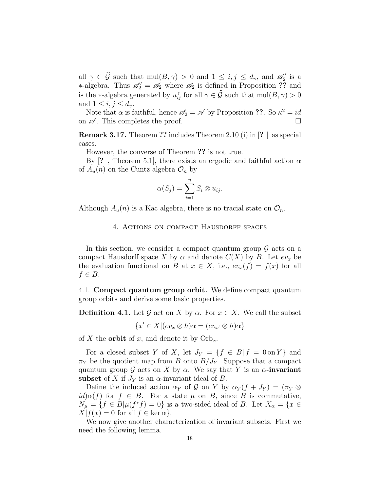all  $\gamma \in \mathcal{G}$  such that  $\text{mul}(B, \gamma) > 0$  and  $1 \leq i, j \leq d_{\gamma}$ , and  $\mathscr{A}'_2$  is a ∗-algebra. Thus  $\mathscr{A}'_2 = \mathscr{A}_2$  where  $\mathscr{A}_2$  is defined in Proposition ?? and is the \*-algebra generated by  $u_{ij}^{\gamma}$  for all  $\gamma \in \widehat{\mathcal{G}}$  such that  $\text{mul}(B, \gamma) > 0$ and  $1 \leq i, j \leq d_{\gamma}$ .

Note that  $\alpha$  is faithful, hence  $\mathscr{A}_2 = \mathscr{A}$  by Proposition ??. So  $\kappa^2 = id$ on  $\mathscr A$ . This completes the proof.

Remark 3.17. Theorem ?? includes Theorem 2.10 (i) in [? ] as special cases.

However, the converse of Theorem ?? is not true.

By [?, Theorem 5.1], there exists an ergodic and faithful action  $\alpha$ of  $A_u(n)$  on the Cuntz algebra  $\mathcal{O}_n$  by

$$
\alpha(S_j) = \sum_{i=1}^n S_i \otimes u_{ij}.
$$

Although  $A_u(n)$  is a Kac algebra, there is no tracial state on  $\mathcal{O}_n$ .

#### 4. ACTIONS ON COMPACT HAUSDORFF SPACES

In this section, we consider a compact quantum group  $\mathcal G$  acts on a compact Hausdorff space X by  $\alpha$  and denote  $C(X)$  by B. Let  $ev_x$  be the evaluation functional on B at  $x \in X$ , i.e.,  $ev_x(f) = f(x)$  for all  $f \in B$ .

4.1. Compact quantum group orbit. We define compact quantum group orbits and derive some basic properties.

**Definition 4.1.** Let G act on X by  $\alpha$ . For  $x \in X$ . We call the subset

$$
\{x' \in X | (ev_x \otimes h)\alpha = (ev_{x'} \otimes h)\alpha\}
$$

of X the **orbit** of x, and denote it by  $Orb_x$ .

For a closed subset Y of X, let  $J_Y = \{f \in B | f = 0 \text{ on } Y\}$  and  $\pi_Y$  be the quotient map from B onto  $B/J_Y$ . Suppose that a compact quantum group G acts on X by  $\alpha$ . We say that Y is an  $\alpha$ -invariant subset of X if  $J<sub>Y</sub>$  is an  $\alpha$ -invariant ideal of B.

Define the induced action  $\alpha_Y$  of G on Y by  $\alpha_Y(f + J_Y) = (\pi_Y \otimes$  $id\alpha(f)$  for  $f \in B$ . For a state  $\mu$  on B, since B is commutative,  $N_{\mu} = \{f \in B | \mu(f^*f) = 0\}$  is a two-sided ideal of B. Let  $X_{\alpha} = \{x \in$  $X|f(x) = 0$  for all  $f \in \ker \alpha$ .

We now give another characterization of invariant subsets. First we need the following lemma.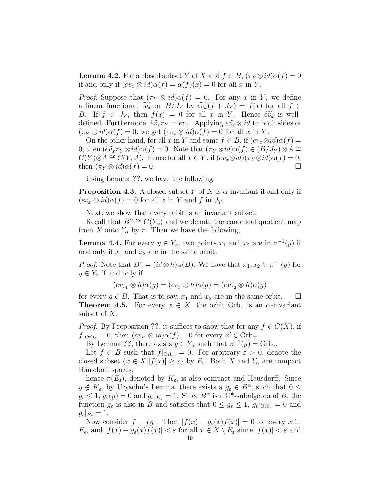**Lemma 4.2.** For a closed subset Y of X and  $f \in B$ ,  $(\pi_Y \otimes id)\alpha(f) = 0$ if and only if  $(ev_x \otimes id)\alpha(f) = \alpha(f)(x) = 0$  for all x in Y.

*Proof.* Suppose that  $(\pi_Y \otimes id)\alpha(f) = 0$ . For any x in Y, we define a linear functional  $\widetilde{ev}_x$  on  $B/J_Y$  by  $\widetilde{ev}_x(f+J_Y) = f(x)$  for all  $f \in$ B. If  $f \in J_Y$ , then  $f(x) = 0$  for all x in Y. Hence  $\widetilde{ev}_x$  is welldefined. Furthermore,  $\widetilde{ev}_x \pi_Y = ev_x$ . Applying  $\widetilde{ev}_x \otimes id$  to both sides of  $(\pi_Y \otimes id)\alpha(f) = 0$ , we get  $(ev_x \otimes id)\alpha(f) = 0$  for all x in Y.

On the other hand, for all x in Y and some  $f \in B$ , if  $(ev_x \otimes id)\alpha(f) =$ 0, then  $(\widetilde{ev}_x \pi_Y \otimes id) \alpha(f) = 0$ . Note that  $(\pi_Y \otimes id) \alpha(f) \in (B/J_Y) \otimes A \cong$  $C(Y) \otimes A \cong C(Y, A)$ . Hence for all  $x \in Y$ , if  $(\widetilde{ev}_x \otimes id)(\pi_Y \otimes id)\alpha(f) = 0$ , then  $(\pi_Y \otimes id)\alpha(f) = 0$ . then  $(\pi_Y \otimes id)\alpha(f) = 0$ .

Using Lemma ??, we have the following.

**Proposition 4.3.** A closed subset Y of X is  $\alpha$ -invariant if and only if  $(ev_x \otimes id)\alpha(f) = 0$  for all x in Y and f in  $J_Y$ .

Next, we show that every orbit is an invariant subset.

Recall that  $B^{\alpha} \cong C(Y_{\alpha})$  and we denote the canonical quotient map from X onto  $Y_\alpha$  by  $\pi$ . Then we have the following,

**Lemma 4.4.** For every  $y \in Y_\alpha$ , two points  $x_1$  and  $x_2$  are in  $\pi^{-1}(y)$  if and only if  $x_1$  and  $x_2$  are in the same orbit.

*Proof.* Note that  $B^{\alpha} = (id \otimes h) \alpha(B)$ . We have that  $x_1, x_2 \in \pi^{-1}(y)$  for  $y \in Y_\alpha$  if and only if

 $(ev_{x_1} \otimes h)\alpha(g) = (ev_y \otimes h)\alpha(g) = (ev_{x_2} \otimes h)\alpha(g)$ 

for every  $g \in B$ . That is to say,  $x_1$  and  $x_2$  are in the same orbit.  $\Box$ **Theorem 4.5.** For every  $x \in X$ , the orbit  $Orb_x$  is an  $\alpha$ -invariant subset of X.

*Proof.* By Proposition ??, it suffices to show that for any  $f \in C(X)$ , if  $f|_{\text{Orb}_x} = 0$ , then  $(ev_{x'} \otimes id)\alpha(f) = 0$  for every  $x' \in \text{Orb}_x$ .

By Lemma ??, there exists  $y \in Y_\alpha$  such that  $\pi^{-1}(y) = \text{Orb}_x$ .

Let  $f \in B$  such that  $f|_{\text{Orb}_x} = 0$ . For arbitrary  $\varepsilon > 0$ , denote the closed subset  $\{x \in X | |f(x)| \geq \varepsilon\}$  by  $E_{\varepsilon}$ . Both X and  $Y_{\alpha}$  are compact Hausdorff spaces,

hence  $\pi(E_{\varepsilon})$ , denoted by  $K_{\varepsilon}$ , is also compact and Hausdorff. Since  $y \notin K_{\varepsilon}$ , by Urysohn's Lemma, there exists a  $g_{\varepsilon} \in B^{\alpha}$ , such that  $0 \leq$  $g_{\varepsilon} \leq 1, g_{\varepsilon}(y) = 0$  and  $g_{\varepsilon}|_{K_{\varepsilon}} = 1$ . Since  $B^{\alpha}$  is a C\*-subalgebra of B, the function  $g_{\varepsilon}$  is also in B and satisfies that  $0 \leq g_{\varepsilon} \leq 1$ ,  $g_{\varepsilon}|_{\text{Orb}_x} = 0$  and  $g_{\varepsilon}|_{E_{\varepsilon}}=1.$ 

Now consider  $f - fg_{\varepsilon}$ . Then  $|f(x) - g_{\varepsilon}(x)f(x)| = 0$  for every x in  $E_{\epsilon}$ , and  $|f(x) - g_{\epsilon}(x)f(x)| < \epsilon$  for all  $x \in X \setminus E_{\epsilon}$  since  $|f(x)| < \epsilon$  and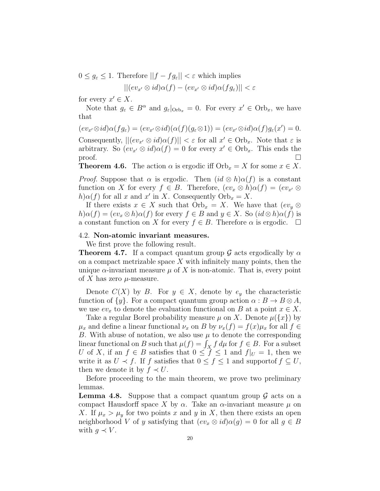$0 \leq g_{\varepsilon} \leq 1$ . Therefore  $||f - fg_{\varepsilon}|| < \varepsilon$  which implies

$$
||(ev_{x'} \otimes id)\alpha(f) - (ev_{x'} \otimes id)\alpha(fg_{\varepsilon})|| < \varepsilon
$$

for every  $x' \in X$ .

Note that  $g_{\varepsilon} \in B^{\alpha}$  and  $g_{\varepsilon}|_{\text{Orb}_x} = 0$ . For every  $x' \in \text{Orb}_x$ , we have that

$$
(ev_{x'}\otimes id)\alpha(fg_{\varepsilon})=(ev_{x'}\otimes id)(\alpha(f)(g_{\varepsilon}\otimes 1))=(ev_{x'}\otimes id)\alpha(f)g_{\varepsilon}(x')=0.
$$

Consequently,  $||(ev_{x'} \otimes id)\alpha(f)|| < \varepsilon$  for all  $x' \in \text{Orb}_x$ . Note that  $\varepsilon$  is arbitrary. So  $(ev_{x'} \otimes id)\alpha(f) = 0$  for every  $x' \in Orb_x$ . This ends the  $\Box$ 

**Theorem 4.6.** The action  $\alpha$  is ergodic iff  $Orb_x = X$  for some  $x \in X$ .

*Proof.* Suppose that  $\alpha$  is ergodic. Then  $(id \otimes h)\alpha(f)$  is a constant function on X for every  $f \in B$ . Therefore,  $(ev_x \otimes h)\alpha(f) = (ev_{x'} \otimes$  $h\alpha(f)$  for all x and x' in X. Consequently  $\text{Orb}_x = X$ .

If there exists  $x \in X$  such that  $Orb_x = X$ . We have that  $(ev_y \otimes$  $h\alpha(f) = (ev_x \otimes h)\alpha(f)$  for every  $f \in B$  and  $y \in X$ . So  $(id \otimes h)\alpha(f)$  is a constant function on X for every  $f \in B$ . Therefore  $\alpha$  is ergodic.  $\Box$ 

## 4.2. Non-atomic invariant measures.

We first prove the following result.

**Theorem 4.7.** If a compact quantum group G acts ergodically by  $\alpha$ on a compact metrizable space  $X$  with infinitely many points, then the unique  $\alpha$ -invariant measure  $\mu$  of X is non-atomic. That is, every point of X has zero  $\mu$ -measure.

Denote  $C(X)$  by B. For  $y \in X$ , denote by  $e_y$  the characteristic function of  $\{y\}$ . For a compact quantum group action  $\alpha : B \to B \otimes A$ , we use  $ev_x$  to denote the evaluation functional on B at a point  $x \in X$ .

Take a regular Borel probability measure  $\mu$  on X. Denote  $\mu({x})$  by  $\mu_x$  and define a linear functional  $\nu_x$  on B by  $\nu_x(f) = f(x)\mu_x$  for all  $f \in$ B. With abuse of notation, we also use  $\mu$  to denote the corresponding linear functional on B such that  $\mu(f) = \int_X f d\mu$  for  $f \in B$ . For a subset U of X, if an  $f \in B$  satisfies that  $0 \le f \le 1$  and  $f|_{U} = 1$ , then we write it as  $U \prec f$ . If f satisfies that  $0 \le f \le 1$  and support of  $f \subseteq U$ , then we denote it by  $f \prec U$ .

Before proceeding to the main theorem, we prove two preliminary lemmas.

**Lemma 4.8.** Suppose that a compact quantum group  $\mathcal G$  acts on a compact Hausdorff space X by  $\alpha$ . Take an  $\alpha$ -invariant measure  $\mu$  on X. If  $\mu_x > \mu_y$  for two points x and y in X, then there exists an open neighborhood V of y satisfying that  $(ev_x \otimes id)\alpha(g) = 0$  for all  $g \in B$ with  $q \prec V$ .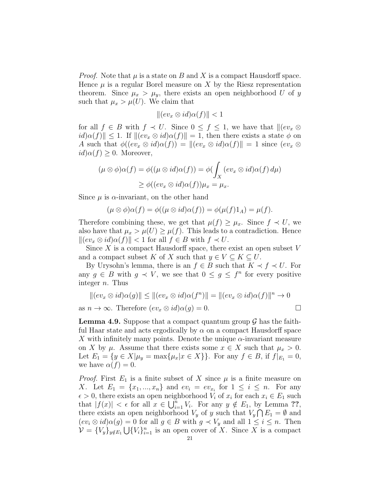*Proof.* Note that  $\mu$  is a state on B and X is a compact Hausdorff space. Hence  $\mu$  is a regular Borel measure on X by the Riesz representation theorem. Since  $\mu_x > \mu_y$ , there exists an open neighborhood U of y such that  $\mu_x > \mu(U)$ . We claim that

$$
\|(ev_x \otimes id)\alpha(f)\| < 1
$$

for all  $f \in B$  with  $f \prec U$ . Since  $0 \leq f \leq 1$ , we have that  $\Vert (ev_x \otimes$  $\|id\alpha(f)\| \leq 1$ . If  $\| (ev_x \otimes id)\alpha(f) \| = 1$ , then there exists a state  $\phi$  on A such that  $\phi((ev_x \otimes id)\alpha(f)) = ||(ev_x \otimes id)\alpha(f)|| = 1$  since  $(ev_x \otimes id)\alpha(f)$  $id\alpha(f) \geq 0$ . Moreover,

$$
(\mu \otimes \phi)\alpha(f) = \phi((\mu \otimes id)\alpha(f)) = \phi(\int_X (ev_x \otimes id)\alpha(f) d\mu)
$$
  
 
$$
\geq \phi((ev_x \otimes id)\alpha(f))\mu_x = \mu_x.
$$

Since  $\mu$  is  $\alpha$ -invariant, on the other hand

$$
(\mu \otimes \phi)\alpha(f) = \phi((\mu \otimes id)\alpha(f)) = \phi(\mu(f)1_A) = \mu(f).
$$

Therefore combining these, we get that  $\mu(f) \geq \mu_x$ . Since  $f \prec U$ , we also have that  $\mu_x > \mu(U) \ge \mu(f)$ . This leads to a contradiction. Hence  $\|(ev_x \otimes id)\alpha(f)\| < 1$  for all  $f \in B$  with  $f \prec U$ .

Since  $X$  is a compact Hausdorff space, there exist an open subset  $V$ and a compact subset K of X such that  $y \in V \subseteq K \subseteq U$ .

By Urysohn's lemma, there is an  $f \in B$  such that  $K \prec f \prec U$ . For any  $g \in B$  with  $g \prec V$ , we see that  $0 \leq g \leq f^n$  for every positive integer n. Thus

$$
||(ev_x \otimes id)\alpha(g)|| \le ||(ev_x \otimes id)\alpha(f^n)|| = ||(ev_x \otimes id)\alpha(f)||^n \to 0
$$
  
as  $n \to \infty$ . Therefore  $(ev_x \otimes id)\alpha(g) = 0$ .

**Lemma 4.9.** Suppose that a compact quantum group  $\mathcal{G}$  has the faithful Haar state and acts ergodically by  $\alpha$  on a compact Hausdorff space X with infinitely many points. Denote the unique  $\alpha$ -invariant measure on X by  $\mu$ . Assume that there exists some  $x \in X$  such that  $\mu_x > 0$ . Let  $E_1 = \{y \in X | \mu_y = \max\{\mu_x | x \in X\}\}\.$  For any  $f \in B$ , if  $f|_{E_1} = 0$ , we have  $\alpha(f) = 0$ .

*Proof.* First  $E_1$  is a finite subset of X since  $\mu$  is a finite measure on X. Let  $E_1 = \{x_1, ..., x_n\}$  and  $ev_i = ev_{x_i}$  for  $1 \le i \le n$ . For any  $\epsilon > 0$ , there exists an open neighborhood  $V_i$  of  $x_i$  for each  $x_i \in E_1$  such that  $|f(x)| < \epsilon$  for all  $x \in \bigcup_{i=1}^n V_i$ . For any  $y \notin E_1$ , by Lemma ??, there exists an open neighborhood  $V_y$  of y such that  $V_y \cap E_1 = \emptyset$  and  $(ev_i \otimes id)\alpha(g) = 0$  for all  $g \in B$  with  $g \prec V_y$  and all  $1 \leq i \leq n$ . Then  $\mathcal{V} = \{V_y\}_{y \notin E_1} \bigcup \{V_i\}_{i=1}^n$  is an open cover of X. Since X is a compact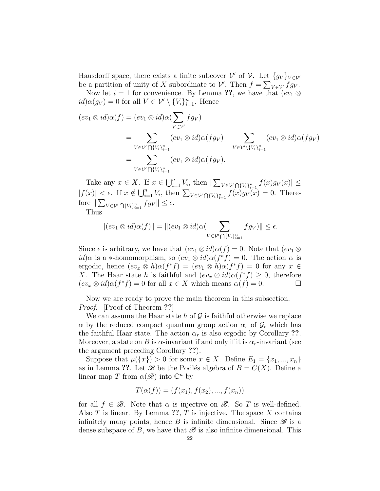Hausdorff space, there exists a finite subcover  $\mathcal V'$  of  $\mathcal V$ . Let  $\{g_V\}_{V\in\mathcal V'}$ be a partition of unity of X subordinate to  $\mathcal{V}'$ . Then  $f = \sum_{V \in \mathcal{V}'} f g_V$ .

Now let  $i = 1$  for convenience. By Lemma ??, we have that  $(ev_1 \otimes$  $id\alpha(g_V) = 0$  for all  $V \in \mathcal{V}' \setminus \{V_i\}_{i=1}^n$ . Hence

$$
(ev_1 \otimes id)\alpha(f) = (ev_1 \otimes id)\alpha(\sum_{V \in V'} fg_V)
$$
  
= 
$$
\sum_{V \in V' \bigcap \{V_i\}_{i=1}^n} (ev_1 \otimes id)\alpha(fg_V) + \sum_{V \in V' \setminus \{V_i\}_{i=1}^n} (ev_1 \otimes id)\alpha(fg_V)
$$
  
= 
$$
\sum_{V \in V' \bigcap \{V_i\}_{i=1}^n} (ev_1 \otimes id)\alpha(fg_V).
$$

Take any  $x \in X$ . If  $x \in \bigcup_{i=1}^n V_i$ , then  $|\sum_{V \in \mathcal{V} \cap \{V_i\}_{i=1}^n} f(x) g_V(x)| \le$  $|f(x)| \leq \epsilon$ . If  $x \notin \bigcup_{i=1}^n V_i$ , then  $\sum_{V \in \mathcal{V}'} \bigcap \{V_i\}_{i=1}^n f(x) g_V(x) = 0$ . Therefore  $\|\sum_{V\in\mathcal{V}'}\bigcap_{\{V_i\}_{i=1}^n} fg_V\| \leq \epsilon.$ 

Thus

$$
||(ev_1 \otimes id)\alpha(f)|| = ||(ev_1 \otimes id)\alpha(\sum_{V \in \mathcal{V} \cap \{V_i\}_{i=1}^n} fg_V)|| \le \epsilon.
$$

Since  $\epsilon$  is arbitrary, we have that  $(ev_1 \otimes id)\alpha(f) = 0$ . Note that  $(ev_1 \otimes$  $id)$  $\alpha$  is a \*-homomorphism, so  $(ev_1 \otimes id) \alpha(f^*f) = 0$ . The action  $\alpha$  is ergodic, hence  $(ev_x \otimes h)\alpha(f^*f) = (ev_1 \otimes h)\alpha(f^*f) = 0$  for any  $x \in$ X. The Haar state h is faithful and  $(ev_x \otimes id)\alpha(f^*f) \geq 0$ , therefore  $(ev_x \otimes id)\alpha(f^*f) = 0$  for all  $x \in X$  which means  $\alpha(f) = 0$ .

Now we are ready to prove the main theorem in this subsection. Proof. [Proof of Theorem ??]

We can assume the Haar state h of  $\mathcal G$  is faithful otherwise we replace  $\alpha$  by the reduced compact quantum group action  $\alpha_r$  of  $\mathcal{G}_r$  which has the faithful Haar state. The action  $\alpha_r$  is also ergodic by Corollary ??. Moreover, a state on B is  $\alpha$ -invariant if and only if it is  $\alpha_r$ -invariant (see the argument preceding Corollary ??).

Suppose that  $\mu({x}) > 0$  for some  $x \in X$ . Define  $E_1 = {x_1, ..., x_n}$ as in Lemma ??. Let  $\mathscr B$  be the Podlés algebra of  $B = C(X)$ . Define a linear map T from  $\alpha(\mathscr{B})$  into  $\mathbb{C}^n$  by

$$
T(\alpha(f)) = (f(x_1), f(x_2), ..., f(x_n))
$$

for all  $f \in \mathcal{B}$ . Note that  $\alpha$  is injective on  $\mathcal{B}$ . So T is well-defined. Also  $T$  is linear. By Lemma ??,  $T$  is injective. The space  $X$  contains infinitely many points, hence B is infinite dimensional. Since  $\mathscr B$  is a dense subspace of B, we have that  $\mathscr B$  is also infinite dimensional. This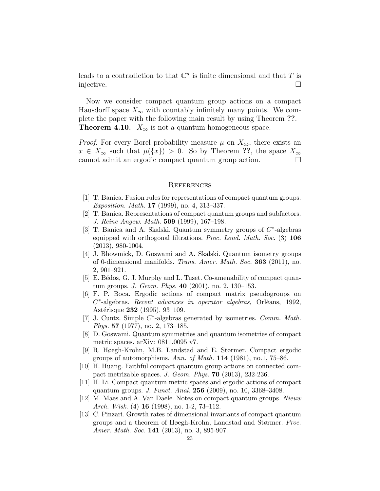leads to a contradiction to that  $\mathbb{C}^n$  is finite dimensional and that T is injective.

Now we consider compact quantum group actions on a compact Hausdorff space  $X_{\infty}$  with countably infinitely many points. We complete the paper with the following main result by using Theorem ??. **Theorem 4.10.**  $X_{\infty}$  is not a quantum homogeneous space.

*Proof.* For every Borel probability measure  $\mu$  on  $X_{\infty}$ , there exists an  $x \in X_\infty$  such that  $\mu({x}) > 0$ . So by Theorem ??, the space  $X_\infty$ cannot admit an ergodic compact quantum group action.

#### **REFERENCES**

- [1] T. Banica. Fusion rules for representations of compact quantum groups. Exposition. Math. 17 (1999), no. 4, 313–337.
- [2] T. Banica. Representations of compact quantum groups and subfactors. J. Reine Angew. Math. 509 (1999), 167–198.
- [3] T. Banica and A. Skalski. Quantum symmetry groups of  $C^*$ -algebras equipped with orthogonal filtrations. Proc. Lond. Math. Soc. (3) 106 (2013), 980-1004.
- [4] J. Bhowmick, D. Goswami and A. Skalski. Quantum isometry groups of 0-dimensional manifolds. Trans. Amer. Math. Soc. 363 (2011), no. 2, 901–921.
- [5] E. Bédos, G. J. Murphy and L. Tuset. Co-amenability of compact quantum groups. J. Geom. Phys. 40 (2001), no. 2, 130–153.
- [6] F. P. Boca. Ergodic actions of compact matrix pseudogroups on  $C^*$ -algebras. Recent advances in operator algebras, Orlèans, 1992, Astérisque 232 (1995), 93-109.
- [7] J. Cuntz. Simple C<sup>\*</sup>-algebras generated by isometries. Comm. Math. Phys. 57 (1977), no. 2, 173–185.
- [8] D. Goswami. Quantum symmetries and quantum isometries of compact metric spaces. arXiv: 0811.0095 v7.
- [9] R. Høegh-Krohn, M.B. Landstad and E. Størmer. Compact ergodic groups of automorphisms. Ann. of Math.  $114$  (1981), no.1, 75–86.
- [10] H. Huang. Faithful compact quantum group actions on connected compact metrizable spaces. J. Geom. Phys. 70 (2013), 232-236.
- [11] H. Li. Compact quantum metric spaces and ergodic actions of compact quantum groups. J. Funct. Anal. 256 (2009), no. 10, 3368–3408.
- [12] M. Maes and A. Van Daele. Notes on compact quantum groups. Nieuw Arch. Wisk. (4)  $16$  (1998), no. 1-2, 73-112.
- [13] C. Pinzari. Growth rates of dimensional invariants of compact quantum groups and a theorem of Høegh-Krohn, Landstad and Størmer. Proc. Amer. Math. Soc. 141 (2013), no. 3, 895-907.